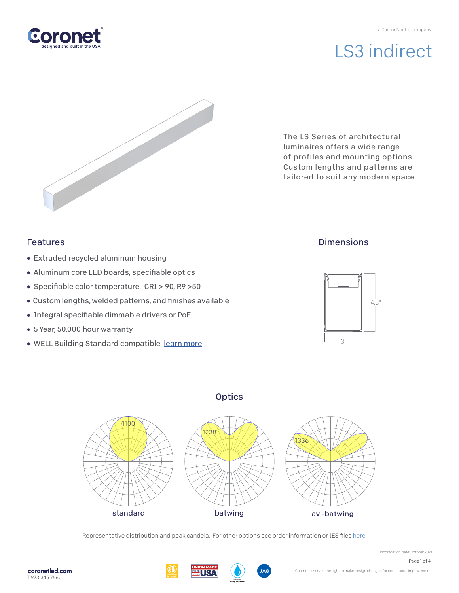

The LS Series of architectural luminaires offers a wide range of profiles and mounting options. Custom lengths and patterns are tailored to suit any modern space.

# Features

- Extruded recycled aluminum housing
- Aluminum core LED boards, specifiable optics
- Specifiable color temperature. CRI > 90, R9 > 50
- Custom lengths, welded patterns, and finishes available
- Integral specifiable dimmable drivers or PoE
- 5 Year, 50,000 hour warranty
- WELL Building Standard compatible [learn more](https://coronetled.com/well-v2-standard/)

# **Dimensions**



# **Optics**



Representative distribution and peak candela. For other options see order information or IES file[s here.](https://coronetled.com/downloads/)

T 973 345 7660

coronetled.com



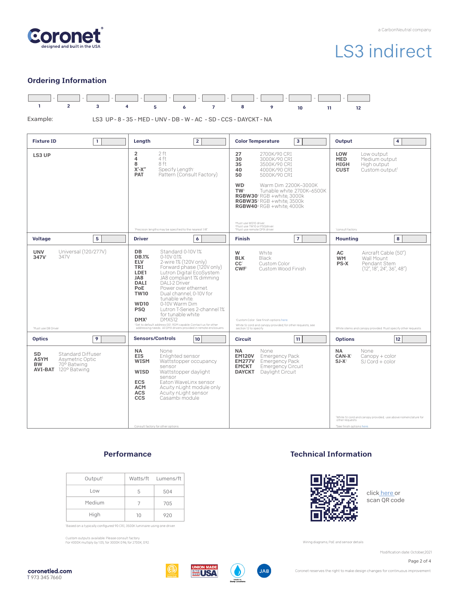

### Ordering Information



Example:

LS3 UP - 8 - 35 - MED - UNV - DB - W - AC - SD - CCS - DAYCKT - NA

| <b>Fixture ID</b><br>$\mathbf{1}$                                                                                           | Length<br>$\overline{2}$                                                                                                                                                                                                                                                                                                                                                                                                                                                                                                                                                                                                | <b>Color Temperature</b><br>3                                                                                                                                                                                                                                                                                                     | Output<br>4                                                                                                                                                                                                            |
|-----------------------------------------------------------------------------------------------------------------------------|-------------------------------------------------------------------------------------------------------------------------------------------------------------------------------------------------------------------------------------------------------------------------------------------------------------------------------------------------------------------------------------------------------------------------------------------------------------------------------------------------------------------------------------------------------------------------------------------------------------------------|-----------------------------------------------------------------------------------------------------------------------------------------------------------------------------------------------------------------------------------------------------------------------------------------------------------------------------------|------------------------------------------------------------------------------------------------------------------------------------------------------------------------------------------------------------------------|
| LS3 UP                                                                                                                      | $\overline{2}$<br>2 ft<br>4 ft<br>4<br>8<br>8 ft<br>$X'$ - $X''$<br>Specify Length<br>Pattern (Consult Factory)<br><b>PAT</b>                                                                                                                                                                                                                                                                                                                                                                                                                                                                                           | 27<br>2700K/90 CRI<br>30<br>3000K/90 CRI<br>35<br>3500K/90 CRI<br>40<br>4000K/90 CRI<br>50<br>5000K/90 CRI<br><b>WD</b><br>Warm Dim 2200K-3000K<br>Tunable white 2700K-6500K<br>TW <sup>2</sup><br>RGBW30 <sup>3</sup> RGB +white, 3000k<br>RGBW35 <sup>3</sup> RGB +white, 3500k<br><b>RGBW40</b> <sup>3</sup> RGB +white. 4000k | LOW<br>Low output<br><b>MED</b><br>Medium output<br><b>HIGH</b><br>High output<br><b>CUST</b><br>Custom output <sup>1</sup>                                                                                            |
|                                                                                                                             | 'Precision lengths may be specified to the nearest 1/8".                                                                                                                                                                                                                                                                                                                                                                                                                                                                                                                                                                | Must use WD10 driver.<br><sup>2</sup> Must use TW10 or PSQdriver.<br><sup>3</sup> Must use remote DMX driver.                                                                                                                                                                                                                     | consult factory                                                                                                                                                                                                        |
| 5<br>Voltage                                                                                                                | <b>Driver</b><br>6                                                                                                                                                                                                                                                                                                                                                                                                                                                                                                                                                                                                      | $\overline{7}$<br><b>Finish</b>                                                                                                                                                                                                                                                                                                   | 8<br><b>Mounting</b>                                                                                                                                                                                                   |
| Universal (120/277V)<br><b>UNV</b><br>347V<br>347V<br>'Must use DB Driver                                                   | DB<br>Standard 0-10V1%<br><b>DB.1%</b><br>0-10V 0.1%<br><b>ELV</b><br>2-wire 1% (120V only)<br>TRI<br>Forward phase (120V only)<br>LDE1<br>Lutron Digital EcoSystem<br>JA8 compliant 1% dimming<br>JA8<br><b>DALI</b><br><b>DALI-2 Driver</b><br>PoE<br>Power over ethernet.<br><b>TW10</b><br>Dual channel, 0-10V for<br>tunable white.<br><b>WD10</b><br>0-10V Warm Dim<br><b>PSO</b><br>Lutron T-Series 2-channel 1%<br>for tunable white<br>DMX <sup>1</sup><br><b>DMX512</b><br>'Set to default address 001. RDM capable. Contact us for other<br>addressing needs. All DMX drivers provided in remote enclosuers. | W<br>White<br><b>BLK</b><br>Black<br>CC <sup>1</sup><br>Custom Color<br><b>CWF</b><br>Custom Wood Finish<br>'Custom Color. See finish options here.<br>White SJ cord and canopy provided; for other requests, see<br>section 12 to specify.                                                                                       | Aircraft Cable (50")<br>AC<br><b>WM</b><br>Wall Mount<br><b>PS-X</b><br>Pendant Stem<br>(12'', 18'', 24'', 36'', 48'')<br>White stems and canopy provided. Must specify other requests.                                |
| <b>Optics</b><br>9                                                                                                          | <b>Sensors/Controls</b><br>10                                                                                                                                                                                                                                                                                                                                                                                                                                                                                                                                                                                           | 11<br><b>Circuit</b>                                                                                                                                                                                                                                                                                                              | 12<br><b>Options</b>                                                                                                                                                                                                   |
| <b>Standard Diffuser</b><br>SD<br><b>ASYM</b><br>Asymetric Optic<br>70° Batwing<br><b>BW</b><br><b>AVI-BAT</b> 120° Batwing | <b>NA</b><br>None<br><b>EIS</b><br>Enlighted sensor<br><b>WISM</b><br>Wattstopper occupancy<br>sensor<br>WISD<br>Wattstopper daylight<br>sensor<br><b>ECS</b><br>Eaton WaveLinx sensor<br><b>ACM</b><br>Acuity nLight module only<br><b>ACS</b><br>Acuity nLight sensor<br><b>CCS</b><br>Casambi module<br>Consult factory for other options.                                                                                                                                                                                                                                                                           | <b>NA</b><br>None<br><b>EM120V</b><br><b>Emergency Pack</b><br><b>EM277V</b><br><b>Emergency Pack</b><br>Emergency Circuit<br><b>EMCKT</b><br>Daylight Circuit<br><b>DAYCKT</b>                                                                                                                                                   | <b>NA</b><br>None<br>CAN-X <sup>1</sup><br>$Canopy + color$<br>$SI-X^2$<br>SJ Cord + color<br>White SJ cord and canopy provided; use above nomenclature for<br>other requests<br><sup>2</sup> See finish options here. |

## **Performance**

| Output <sup>1</sup> |          | Watts/ft Lumens/ft |
|---------------------|----------|--------------------|
| Low                 | 5        | 504                |
| Medium              |          | 705                |
| High                | $1 \cap$ | 920                |

'Based on a typically configured 90 CRI, 3500K luminaire using one driver.

Custom outputs available. Please consult factory. For 4000K multiply by 1.05; for 3000K 0.96; for 2700K, 0.92.

### Technical Information



clic[k here or](https://coronetled.com/downloads/)  scan QR code

Wiring diagrams, PoE and sensor details

Modification date: October,2021

Page 2 of 4







Coronet reserves the right to make design changes for continuous improvement.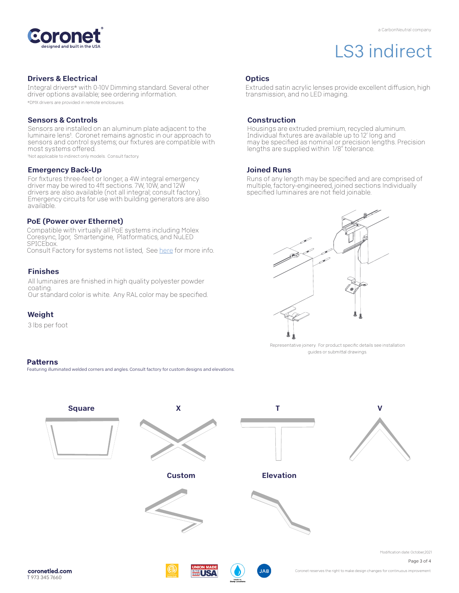

### Drivers & Electrical

Integral drivers\* with 0-10V Dimming standard. Several other driver options available; see ordering information. \*DMX drivers are provided in remote enclosures.

#### Sensors & Controls

Sensors are installed on an aluminum plate adjacent to the luminaire lens1. Coronet remains agnostic in our approach to sensors and control systems; our fixtures are compatible with most systems offered.

1Not applicable to indirect only models. Consult factory.

#### Emergency Back-Up

For fixtures three-feet or longer, a 4W integral emergency driver may be wired to 4ft sections. 7W, 10W, and 12W drivers are also available (not all integral; consult factory). Emergency circuits for use with building generators are also available.

#### PoE (Power over Ethernet)

Compatible with virtually all PoE systems including Molex Coresync, Igor, Smartengine, Platformatics, and NuLED SPICEbox. Consult Factory for systems not listed, See here for more info.

#### Finishes

All luminaires are finished in high quality polyester powder coating. Our standard color is white. Any RAL color may be specified.

### Weight

3 lbs per foot

#### **Patterns**

Featuring illuminated welded corners and angles. Consult factory for custom designs and elevations

## **Optics**

Extruded satin acrylic lenses provide excellent diffusion, high transmission, and no LED imaging.

#### Construction

Housings are extruded premium, recycled aluminum. Individual fixtures are available up to 12' long and may be specified as nominal or precision lengths. Precision lengths are supplied within 1/8" tolerance.

#### Joined Runs

Runs of any length may be specified and are comprised of multiple, factory-engineered, joined sections. Individually specified luminaires are not field joinable.



Representative joinery. For product specific details see installation guides or submittal drawings.





Coronet reserves the right to make design changes for continuous improvement.